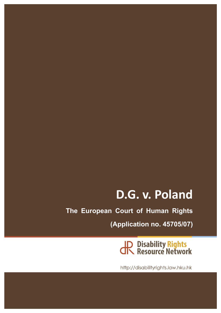# D.G. v. Poland

**The European Court of Human Rights**

**(Application no. 45705/07)**

JP Disability Rights<br>JR Resource Network

http://disabilityrights.law.hku.hk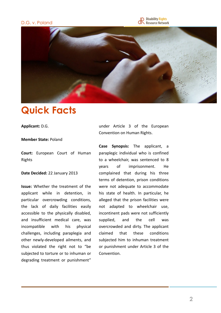#### D.G. v. Poland





## **Quick Facts**

Applicant: D.G.

#### **Member State: Poland**

**Court:** European Court of Human Rights

#### **Date Decided: 22 January 2013**

**Issue:** Whether the treatment of the applicant while in detention, in particular overcrowding conditions, the lack of daily facilities easily accessible to the physically disabled, and insufficient medical care, was incompatible with his physical challenges, including paraplegia and other newly-developed ailments, and thus violated the right not to "be subjected to torture or to inhuman or degrading treatment or punishment"

under Article 3 of the European Convention on Human Rights.

**Case Synopsis:** The applicant, a paraplegic individual who is confined to a wheelchair, was sentenced to 8 years of imprisonment. He complained that during his three terms of detention, prison conditions were not adequate to accommodate his state of health. In particular, he alleged that the prison facilities were not adapted to wheelchair use, incontinent pads were not sufficiently supplied, and the cell was overcrowded and dirty. The applicant claimed that these conditions subjected him to inhuman treatment or punishment under Article 3 of the Convention.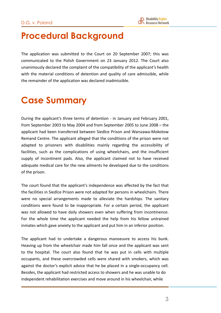### **Procedural Background**

The application was submitted to the Court on 20 September 2007; this was communicated to the Polish Government on 23 January 2012. The Court also unanimously declared the complaint of the compatibility of the applicant's health with the material conditions of detention and quality of care admissible, while the remainder of the application was declared inadmissible.

## **Case Summary**

During the applicant's three terms of detention - in January and February 2001, from September 2003 to May 2004 and from September 2005 to June 2008 – the applicant had been transferred between Siedlce Prison and Warszawa-Mokotow Remand Centre. The applicant alleged that the conditions of the prison were not adapted to prisoners with disabilities mainly regarding the accessibility of facilities, such as the complications of using wheelchairs, and the insufficient supply of incontinent pads. Also, the applicant claimed not to have received adequate medical care for the new ailments he developed due to the conditions of the prison.

The court found that the applicant's independence was affected by the fact that the facilities in Siedlce Prison were not adapted for persons in wheelchairs. There were no special arrangements made to alleviate the hardships. The sanitary conditions were found to be inappropriate. For a certain period, the applicant was not allowed to have daily showers even when suffering from incontinence. For the whole time the applicant needed the help from his fellow untrained inmates which gave anxiety to the applicant and put him in an inferior position.

The applicant had to undertake a dangerous manoeuvre to access his bunk. Heaving up from the wheelchair made him fall once and the applicant was sent to the hospital. The court also found that he was put in cells with multiple occupants, and these overcrowded cells were shared with smokers, which was against the doctor's explicit advice that he be placed in a single-occupancy cell. Besides, the applicant had restricted access to showers and he was unable to do independent rehabilitation exercises and move around in his wheelchair, while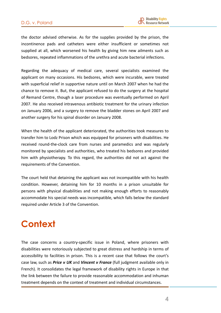the doctor advised otherwise. As for the supplies provided by the prison, the incontinence pads and catheters were either insufficient or sometimes not supplied at all, which worsened his health by giving him new ailments such as bedsores, repeated inflammations of the urethra and acute bacterial infections.

Regarding the adequacy of medical care, several specialists examined the applicant on many occasions. His bedsores, which were incurable, were treated with superficial relief in supportive nature until on March 2007 when he had the chance to remove it. But, the applicant refused to do the surgery at the hospital of Remand Centre, though a laser procedure was eventually performed on April 2007. He also received intravenous antibiotic treatment for the urinary infection on January 2006, and a surgery to remove the bladder stones on April 2007 and another surgery for his spinal disorder on January 2008.

When the health of the applicant deteriorated, the authorities took measures to transfer him to Lodz Prison which was equipped for prisoners with disabilities. He received round-the-clock care from nurses and paramedics and was regularly monitored by specialists and authorities, who treated his bedsores and provided him with physiotherapy. To this regard, the authorities did not act against the requirements of the Convention.

The court held that detaining the applicant was not incompatible with his health condition. However, detaining him for 10 months in a prison unsuitable for persons with physical disabilities and not making enough efforts to reasonably accommodate his special needs was incompatible, which falls below the standard required under Article 3 of the Convention.

# **Context**

The case concerns a country-specific issue in Poland, where prisoners with disabilities were notoriously subjected to great distress and hardship in terms of accessibility to facilities in prison. This is a recent case that follows the court's case law, such as *Price v UK* and *Vincent v France* (full judgment available only in French). It consolidates the legal framework of disability rights in Europe in that the link between the failure to provide reasonable accommodation and inhuman treatment depends on the context of treatment and individual circumstances.